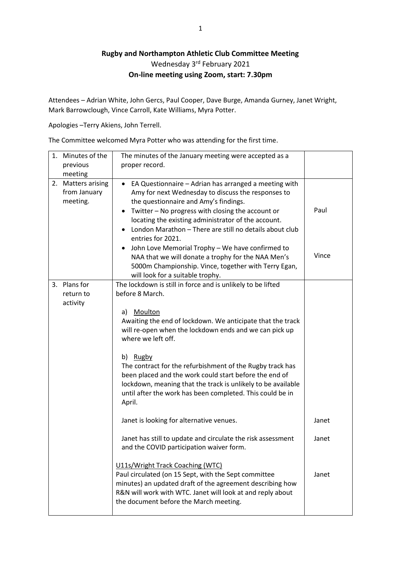## **Rugby and Northampton Athletic Club Committee Meeting** Wednesday 3<sup>rd</sup> February 2021 **On-line meeting using Zoom, start: 7.30pm**

Attendees – Adrian White, John Gercs, Paul Cooper, Dave Burge, Amanda Gurney, Janet Wright, Mark Barrowclough, Vince Carroll, Kate Williams, Myra Potter.

Apologies –Terry Akiens, John Terrell.

The Committee welcomed Myra Potter who was attending for the first time.

| The minutes of the January meeting were accepted as a<br>proper record.                                                                                                                                                                                                                                                                                                                                                                                                                                                                                                               |                                                                                                       |
|---------------------------------------------------------------------------------------------------------------------------------------------------------------------------------------------------------------------------------------------------------------------------------------------------------------------------------------------------------------------------------------------------------------------------------------------------------------------------------------------------------------------------------------------------------------------------------------|-------------------------------------------------------------------------------------------------------|
| EA Questionnaire - Adrian has arranged a meeting with<br>$\bullet$<br>Amy for next Wednesday to discuss the responses to<br>the questionnaire and Amy's findings.<br>Twitter - No progress with closing the account or<br>$\bullet$<br>locating the existing administrator of the account.<br>London Marathon - There are still no details about club<br>entries for 2021.<br>John Love Memorial Trophy - We have confirmed to<br>٠<br>NAA that we will donate a trophy for the NAA Men's<br>5000m Championship. Vince, together with Terry Egan,<br>will look for a suitable trophy. | Paul<br>Vince                                                                                         |
| The lockdown is still in force and is unlikely to be lifted<br>before 8 March.<br>Moulton<br>a)<br>Awaiting the end of lockdown. We anticipate that the track<br>will re-open when the lockdown ends and we can pick up<br>where we left off.<br>b) Rugby<br>The contract for the refurbishment of the Rugby track has<br>been placed and the work could start before the end of<br>lockdown, meaning that the track is unlikely to be available<br>until after the work has been completed. This could be in<br>April.                                                               |                                                                                                       |
| Janet is looking for alternative venues.                                                                                                                                                                                                                                                                                                                                                                                                                                                                                                                                              | Janet                                                                                                 |
| and the COVID participation waiver form.<br>U11s/Wright Track Coaching (WTC)<br>Paul circulated (on 15 Sept, with the Sept committee<br>minutes) an updated draft of the agreement describing how<br>R&N will work with WTC. Janet will look at and reply about                                                                                                                                                                                                                                                                                                                       | Janet<br>Janet                                                                                        |
|                                                                                                                                                                                                                                                                                                                                                                                                                                                                                                                                                                                       | Janet has still to update and circulate the risk assessment<br>the document before the March meeting. |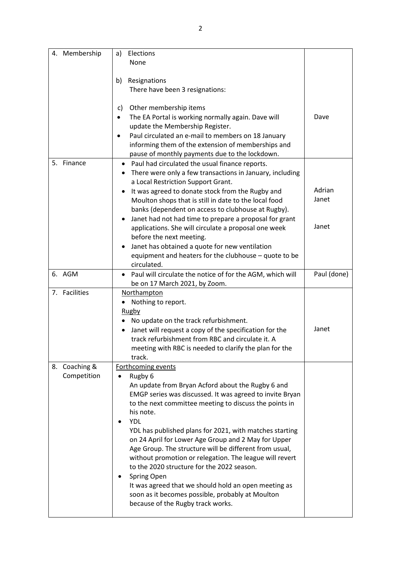| 4. Membership | Elections<br>a)                                                                                                   |             |
|---------------|-------------------------------------------------------------------------------------------------------------------|-------------|
|               | None                                                                                                              |             |
|               |                                                                                                                   |             |
|               | Resignations<br>b)                                                                                                |             |
|               | There have been 3 resignations:                                                                                   |             |
|               |                                                                                                                   |             |
|               | Other membership items<br>C)                                                                                      | Dave        |
|               | The EA Portal is working normally again. Dave will<br>$\bullet$<br>update the Membership Register.                |             |
|               | Paul circulated an e-mail to members on 18 January                                                                |             |
|               | informing them of the extension of memberships and                                                                |             |
|               | pause of monthly payments due to the lockdown.                                                                    |             |
| 5. Finance    | Paul had circulated the usual finance reports.<br>٠                                                               |             |
|               | There were only a few transactions in January, including<br>٠                                                     |             |
|               | a Local Restriction Support Grant.                                                                                |             |
|               | It was agreed to donate stock from the Rugby and                                                                  | Adrian      |
|               | Moulton shops that is still in date to the local food                                                             | Janet       |
|               | banks (dependent on access to clubhouse at Rugby).                                                                |             |
|               | Janet had not had time to prepare a proposal for grant<br>٠                                                       | Janet       |
|               | applications. She will circulate a proposal one week                                                              |             |
|               | before the next meeting.<br>Janet has obtained a quote for new ventilation<br>$\bullet$                           |             |
|               | equipment and heaters for the clubhouse - quote to be                                                             |             |
|               | circulated.                                                                                                       |             |
| 6. AGM        | Paul will circulate the notice of for the AGM, which will<br>٠                                                    | Paul (done) |
|               | be on 17 March 2021, by Zoom.                                                                                     |             |
| 7. Facilities | <b>Northampton</b>                                                                                                |             |
|               | Nothing to report.                                                                                                |             |
|               | <b>Rugby</b>                                                                                                      |             |
|               | No update on the track refurbishment.                                                                             |             |
|               | Janet will request a copy of the specification for the                                                            | Janet       |
|               | track refurbishment from RBC and circulate it. A                                                                  |             |
|               | meeting with RBC is needed to clarify the plan for the<br>track.                                                  |             |
| 8. Coaching & | Forthcoming events                                                                                                |             |
| Competition   | Rugby 6<br>٠                                                                                                      |             |
|               | An update from Bryan Acford about the Rugby 6 and                                                                 |             |
|               | EMGP series was discussed. It was agreed to invite Bryan                                                          |             |
|               | to the next committee meeting to discuss the points in                                                            |             |
|               | his note.                                                                                                         |             |
|               | <b>YDL</b>                                                                                                        |             |
|               | YDL has published plans for 2021, with matches starting                                                           |             |
|               | on 24 April for Lower Age Group and 2 May for Upper                                                               |             |
|               | Age Group. The structure will be different from usual,<br>without promotion or relegation. The league will revert |             |
|               | to the 2020 structure for the 2022 season.                                                                        |             |
|               | Spring Open                                                                                                       |             |
|               | It was agreed that we should hold an open meeting as                                                              |             |
|               | soon as it becomes possible, probably at Moulton                                                                  |             |
|               | because of the Rugby track works.                                                                                 |             |
|               |                                                                                                                   |             |